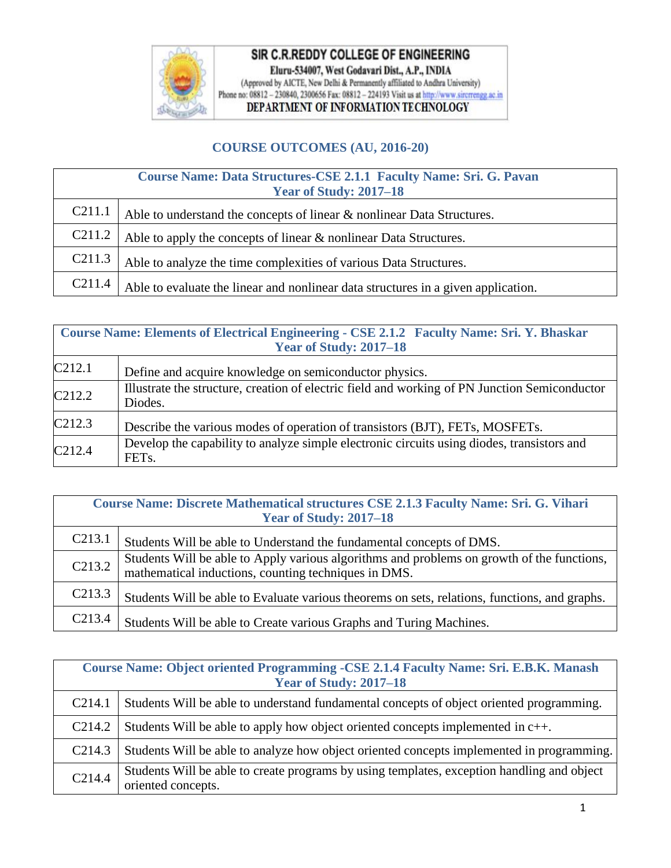

## SIR C.R.REDDY COLLEGE OF ENGINEERING

Eluru-534007, West Godavari Dist., A.P., INDIA<br>(Approved by AICTE, New Delhi & Permanently affiliated to Andhra University)<br>Phone no: 08812 - 230840, 2300656 Fax: 08812 - 224193 Visit us at http://www.sircrengg.ac.in

DEPARTMENT OF INFORMATION TECHNOLOGY

## **COURSE OUTCOMES (AU, 2016-20)**

| Course Name: Data Structures-CSE 2.1.1 Faculty Name: Sri. G. Pavan<br><b>Year of Study: 2017–18</b> |                                                                                   |
|-----------------------------------------------------------------------------------------------------|-----------------------------------------------------------------------------------|
| C <sub>211.1</sub>                                                                                  | Able to understand the concepts of linear & nonlinear Data Structures.            |
| C <sub>211.2</sub>                                                                                  | Able to apply the concepts of linear & nonlinear Data Structures.                 |
| C <sub>211.3</sub>                                                                                  | Able to analyze the time complexities of various Data Structures.                 |
| C <sub>211.4</sub>                                                                                  | Able to evaluate the linear and nonlinear data structures in a given application. |

| Course Name: Elements of Electrical Engineering - CSE 2.1.2 Faculty Name: Sri. Y. Bhaskar<br><b>Year of Study: 2017-18</b> |                                                                                                                |
|----------------------------------------------------------------------------------------------------------------------------|----------------------------------------------------------------------------------------------------------------|
| C <sub>2</sub> 12.1                                                                                                        | Define and acquire knowledge on semiconductor physics.                                                         |
| C <sub>2</sub> 12.2                                                                                                        | Illustrate the structure, creation of electric field and working of PN Junction Semiconductor<br>Diodes.       |
| C <sub>2</sub> 12.3                                                                                                        | Describe the various modes of operation of transistors (BJT), FETs, MOSFETs.                                   |
| C <sub>212.4</sub>                                                                                                         | Develop the capability to analyze simple electronic circuits using diodes, transistors and<br>FET <sub>s</sub> |

| Course Name: Discrete Mathematical structures CSE 2.1.3 Faculty Name: Sri. G. Vihari<br><b>Year of Study: 2017–18</b> |                                                                                                                                                    |
|-----------------------------------------------------------------------------------------------------------------------|----------------------------------------------------------------------------------------------------------------------------------------------------|
| C <sub>2</sub> 13.1                                                                                                   | Students Will be able to Understand the fundamental concepts of DMS.                                                                               |
| C <sub>2</sub> 13.2                                                                                                   | Students Will be able to Apply various algorithms and problems on growth of the functions,<br>mathematical inductions, counting techniques in DMS. |
| C <sub>2</sub> 13.3                                                                                                   | Students Will be able to Evaluate various theorems on sets, relations, functions, and graphs.                                                      |
| C <sub>2</sub> 13.4                                                                                                   | Students Will be able to Create various Graphs and Turing Machines.                                                                                |

| Course Name: Object oriented Programming - CSE 2.1.4 Faculty Name: Sri. E.B.K. Manash<br><b>Year of Study: 2017–18</b> |                                                                                                                  |
|------------------------------------------------------------------------------------------------------------------------|------------------------------------------------------------------------------------------------------------------|
| C214.1                                                                                                                 | Students Will be able to understand fundamental concepts of object oriented programming.                         |
| C <sub>2</sub> 14.2                                                                                                    | Students Will be able to apply how object oriented concepts implemented in c++.                                  |
| C <sub>2</sub> 14.3                                                                                                    | Students Will be able to analyze how object oriented concepts implemented in programming.                        |
| C214.4                                                                                                                 | Students Will be able to create programs by using templates, exception handling and object<br>oriented concepts. |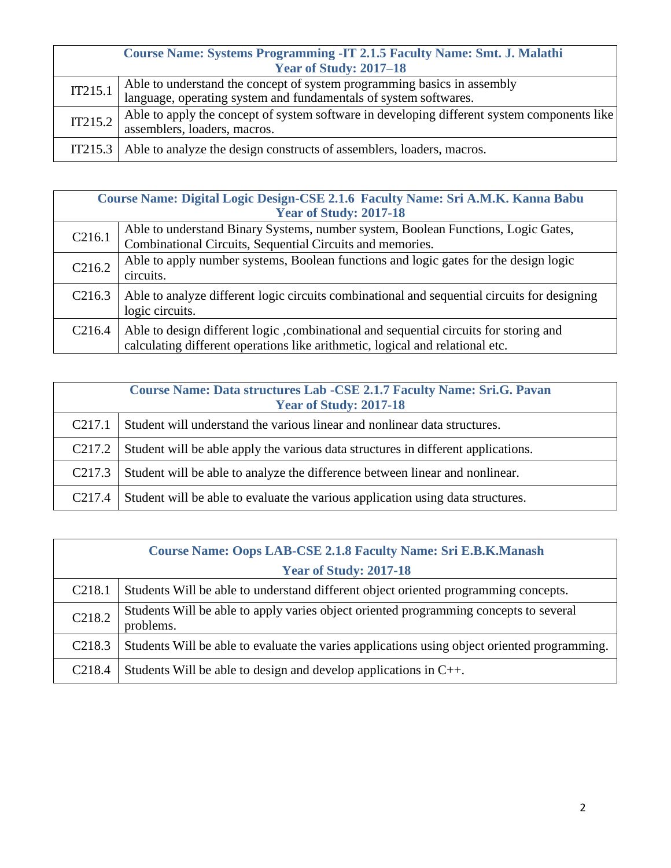|         | <b>Course Name: Systems Programming - IT 2.1.5 Faculty Name: Smt. J. Malathi</b>                                                         |
|---------|------------------------------------------------------------------------------------------------------------------------------------------|
|         | <b>Year of Study: 2017–18</b>                                                                                                            |
| IT215.1 | Able to understand the concept of system programming basics in assembly language, operating system and fundamentals of system softwares. |
|         |                                                                                                                                          |
| IT215.2 | Able to apply the concept of system software in developing different system components like assemblers, loaders, macros.                 |
|         |                                                                                                                                          |
|         | IT215.3 Able to analyze the design constructs of assemblers, loaders, macros.                                                            |

| Course Name: Digital Logic Design-CSE 2.1.6 Faculty Name: Sri A.M.K. Kanna Babu<br><b>Year of Study: 2017-18</b> |                                                                                                                                                                        |
|------------------------------------------------------------------------------------------------------------------|------------------------------------------------------------------------------------------------------------------------------------------------------------------------|
| C <sub>2</sub> 16.1                                                                                              | Able to understand Binary Systems, number system, Boolean Functions, Logic Gates,<br>Combinational Circuits, Sequential Circuits and memories.                         |
| C <sub>2</sub> 16.2                                                                                              | Able to apply number systems, Boolean functions and logic gates for the design logic<br>circuits.                                                                      |
| C <sub>2</sub> 16.3                                                                                              | Able to analyze different logic circuits combinational and sequential circuits for designing<br>logic circuits.                                                        |
| C <sub>2</sub> 16.4                                                                                              | Able to design different logic, combinational and sequential circuits for storing and<br>calculating different operations like arithmetic, logical and relational etc. |

| <b>Course Name: Data structures Lab -CSE 2.1.7 Faculty Name: Sri.G. Pavan</b><br><b>Year of Study: 2017-18</b> |                                                                                   |
|----------------------------------------------------------------------------------------------------------------|-----------------------------------------------------------------------------------|
| C <sub>2</sub> 17.1                                                                                            | Student will understand the various linear and nonlinear data structures.         |
| C <sub>2</sub> 17.2                                                                                            | Student will be able apply the various data structures in different applications. |
| C <sub>2</sub> 17.3                                                                                            | Student will be able to analyze the difference between linear and nonlinear.      |
| C <sub>217.4</sub>                                                                                             | Student will be able to evaluate the various application using data structures.   |

| <b>Course Name: Oops LAB-CSE 2.1.8 Faculty Name: Sri E.B.K.Manash</b> |                                                                                                    |  |
|-----------------------------------------------------------------------|----------------------------------------------------------------------------------------------------|--|
|                                                                       | <b>Year of Study: 2017-18</b>                                                                      |  |
| C <sub>2</sub> 18.1                                                   | Students Will be able to understand different object oriented programming concepts.                |  |
| C <sub>2</sub> 18.2                                                   | Students Will be able to apply varies object oriented programming concepts to several<br>problems. |  |
| C <sub>2</sub> 18.3                                                   | Students Will be able to evaluate the varies applications using object oriented programming.       |  |
| C <sub>2</sub> 18.4                                                   | Students Will be able to design and develop applications in $C_{++}$ .                             |  |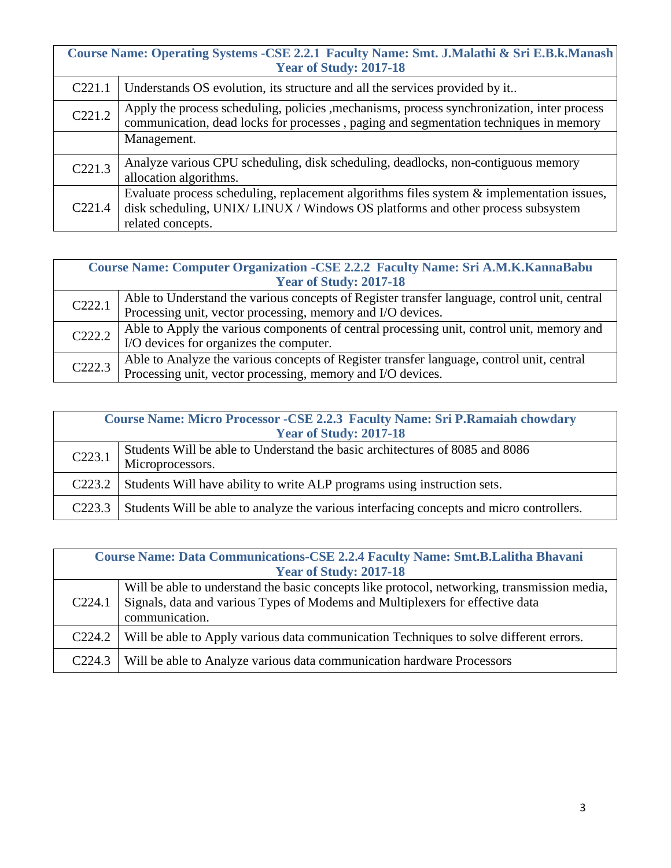**Course Name: Operating Systems -CSE 2.2.1 Faculty Name: Smt. J.Malathi & Sri E.B.k.Manash Year of Study: 2017-18**

| C <sub>221.1</sub> | Understands OS evolution, its structure and all the services provided by it                                                                                                                      |
|--------------------|--------------------------------------------------------------------------------------------------------------------------------------------------------------------------------------------------|
| C <sub>221.2</sub> | Apply the process scheduling, policies , mechanisms, process synchronization, inter process<br>communication, dead locks for processes, paging and segmentation techniques in memory             |
|                    | Management.                                                                                                                                                                                      |
| C <sub>221.3</sub> | Analyze various CPU scheduling, disk scheduling, deadlocks, non-contiguous memory<br>allocation algorithms.                                                                                      |
| C <sub>221.4</sub> | Evaluate process scheduling, replacement algorithms files system & implementation issues,<br>disk scheduling, UNIX/LINUX / Windows OS platforms and other process subsystem<br>related concepts. |

| Course Name: Computer Organization - CSE 2.2.2 Faculty Name: Sri A.M.K.KannaBabu<br><b>Year of Study: 2017-18</b> |                                                                                                                                                             |
|-------------------------------------------------------------------------------------------------------------------|-------------------------------------------------------------------------------------------------------------------------------------------------------------|
| C <sub>222.1</sub>                                                                                                | Able to Understand the various concepts of Register transfer language, control unit, central<br>Processing unit, vector processing, memory and I/O devices. |
| C <sub>222.2</sub>                                                                                                | Able to Apply the various components of central processing unit, control unit, memory and<br>I/O devices for organizes the computer.                        |
| C <sub>222.3</sub>                                                                                                | Able to Analyze the various concepts of Register transfer language, control unit, central<br>Processing unit, vector processing, memory and I/O devices.    |

| Course Name: Micro Processor - CSE 2.2.3 Faculty Name: Sri P.Ramaiah chowdary<br><b>Year of Study: 2017-18</b> |                                                                                                  |
|----------------------------------------------------------------------------------------------------------------|--------------------------------------------------------------------------------------------------|
| C223.1                                                                                                         | Students Will be able to Understand the basic architectures of 8085 and 8086<br>Microprocessors. |
| C <sub>223.2</sub>                                                                                             | Students Will have ability to write ALP programs using instruction sets.                         |
| C <sub>223.3</sub>                                                                                             | Students Will be able to analyze the various interfacing concepts and micro controllers.         |

|                    | Course Name: Data Communications-CSE 2.2.4 Faculty Name: Smt.B.Lalitha Bhavani<br><b>Year of Study: 2017-18</b>                                                                                 |  |
|--------------------|-------------------------------------------------------------------------------------------------------------------------------------------------------------------------------------------------|--|
| C <sub>224.1</sub> | Will be able to understand the basic concepts like protocol, networking, transmission media,<br>Signals, data and various Types of Modems and Multiplexers for effective data<br>communication. |  |
|                    | C224.2   Will be able to Apply various data communication Techniques to solve different errors.                                                                                                 |  |
| C <sub>224.3</sub> | Will be able to Analyze various data communication hardware Processors                                                                                                                          |  |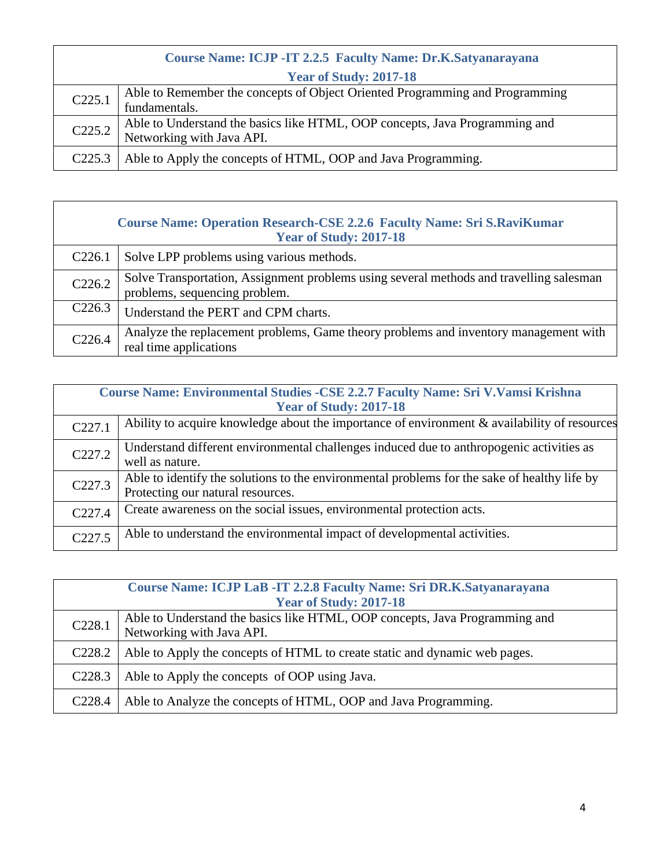| Course Name: ICJP - IT 2.2.5 Faculty Name: Dr.K.Satyanarayana |                                                                                                          |
|---------------------------------------------------------------|----------------------------------------------------------------------------------------------------------|
| <b>Year of Study: 2017-18</b>                                 |                                                                                                          |
| C <sub>225.1</sub>                                            | Able to Remember the concepts of Object Oriented Programming and Programming<br>fundamentals.            |
| C <sub>225.2</sub>                                            | Able to Understand the basics like HTML, OOP concepts, Java Programming and<br>Networking with Java API. |
| C <sub>225.3</sub>                                            | Able to Apply the concepts of HTML, OOP and Java Programming.                                            |

| <b>Course Name: Operation Research-CSE 2.2.6 Faculty Name: Sri S.RaviKumar</b><br><b>Year of Study: 2017-18</b> |                                                                                                                          |
|-----------------------------------------------------------------------------------------------------------------|--------------------------------------------------------------------------------------------------------------------------|
| C <sub>226.1</sub>                                                                                              | Solve LPP problems using various methods.                                                                                |
| C <sub>226.2</sub>                                                                                              | Solve Transportation, Assignment problems using several methods and travelling salesman<br>problems, sequencing problem. |
| C <sub>226.3</sub>                                                                                              | Understand the PERT and CPM charts.                                                                                      |
| C <sub>226.4</sub>                                                                                              | Analyze the replacement problems, Game theory problems and inventory management with<br>real time applications           |

| Course Name: Environmental Studies - CSE 2.2.7 Faculty Name: Sri V. Vamsi Krishna<br><b>Year of Study: 2017-18</b> |                                                                                                                                   |
|--------------------------------------------------------------------------------------------------------------------|-----------------------------------------------------------------------------------------------------------------------------------|
| C <sub>227.1</sub>                                                                                                 | Ability to acquire knowledge about the importance of environment & availability of resources                                      |
| C <sub>227.2</sub>                                                                                                 | Understand different environmental challenges induced due to anthropogenic activities as<br>well as nature.                       |
| C <sub>227.3</sub>                                                                                                 | Able to identify the solutions to the environmental problems for the sake of healthy life by<br>Protecting our natural resources. |
| C <sub>227.4</sub>                                                                                                 | Create awareness on the social issues, environmental protection acts.                                                             |
| C <sub>227.5</sub>                                                                                                 | Able to understand the environmental impact of developmental activities.                                                          |

| <b>Course Name: ICJP LaB - IT 2.2.8 Faculty Name: Sri DR.K.Satyanarayana</b><br><b>Year of Study: 2017-18</b> |                                                                                                          |
|---------------------------------------------------------------------------------------------------------------|----------------------------------------------------------------------------------------------------------|
| C <sub>228.1</sub>                                                                                            | Able to Understand the basics like HTML, OOP concepts, Java Programming and<br>Networking with Java API. |
| C <sub>228.2</sub>                                                                                            | Able to Apply the concepts of HTML to create static and dynamic web pages.                               |
| C <sub>228.3</sub>                                                                                            | Able to Apply the concepts of OOP using Java.                                                            |
| C <sub>228.4</sub>                                                                                            | Able to Analyze the concepts of HTML, OOP and Java Programming.                                          |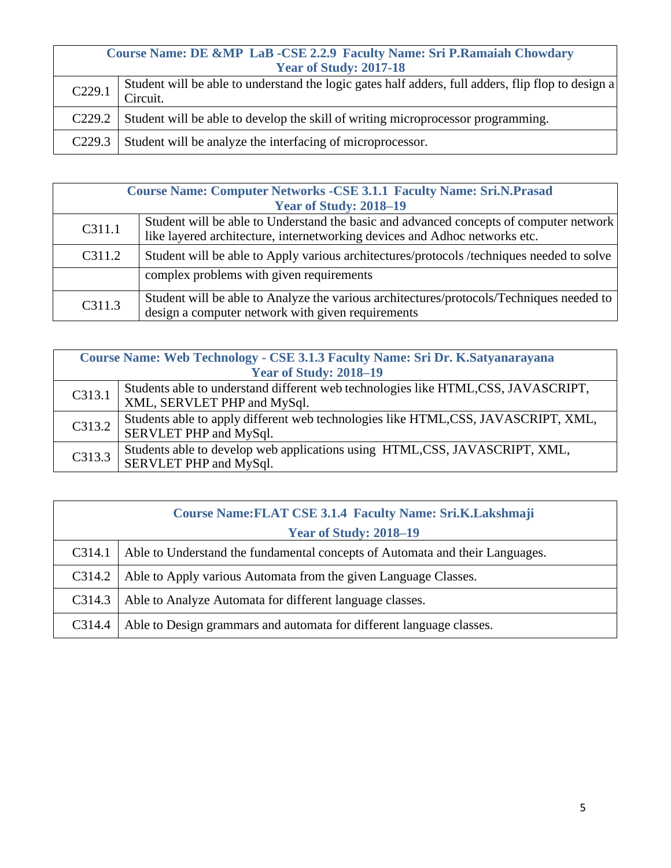| Course Name: DE &MP LaB -CSE 2.2.9 Faculty Name: Sri P.Ramaiah Chowdary |                                                                                                                |  |
|-------------------------------------------------------------------------|----------------------------------------------------------------------------------------------------------------|--|
| <b>Year of Study: 2017-18</b>                                           |                                                                                                                |  |
| C229.1                                                                  | Student will be able to understand the logic gates half adders, full adders, flip flop to design a<br>Circuit. |  |
| C <sub>229.2</sub>                                                      | Student will be able to develop the skill of writing microprocessor programming.                               |  |
| C <sub>229.3</sub>                                                      | Student will be analyze the interfacing of microprocessor.                                                     |  |

| <b>Course Name: Computer Networks -CSE 3.1.1 Faculty Name: Sri.N.Prasad</b><br><b>Year of Study: 2018-19</b> |                                                                                                                                                                      |
|--------------------------------------------------------------------------------------------------------------|----------------------------------------------------------------------------------------------------------------------------------------------------------------------|
| C311.1                                                                                                       | Student will be able to Understand the basic and advanced concepts of computer network<br>like layered architecture, internetworking devices and Adhoc networks etc. |
| C311.2                                                                                                       | Student will be able to Apply various architectures/protocols/techniques needed to solve                                                                             |
|                                                                                                              | complex problems with given requirements                                                                                                                             |
| C <sub>311.3</sub>                                                                                           | Student will be able to Analyze the various architectures/protocols/Techniques needed to<br>design a computer network with given requirements                        |

| Course Name: Web Technology - CSE 3.1.3 Faculty Name: Sri Dr. K.Satyanarayana<br><b>Year of Study: 2018-19</b> |                                                                                    |
|----------------------------------------------------------------------------------------------------------------|------------------------------------------------------------------------------------|
|                                                                                                                |                                                                                    |
| C313.1                                                                                                         | Students able to understand different web technologies like HTML, CSS, JAVASCRIPT, |
|                                                                                                                | XML, SERVLET PHP and MySql.                                                        |
| C313.2                                                                                                         | Students able to apply different web technologies like HTML, CSS, JAVASCRIPT, XML, |
|                                                                                                                | SERVLET PHP and MySql.                                                             |
| C313.3                                                                                                         | Students able to develop web applications using HTML, CSS, JAVASCRIPT, XML,        |
|                                                                                                                | SERVLET PHP and MySql.                                                             |

| Course Name: FLAT CSE 3.1.4 Faculty Name: Sri.K.Lakshmaji |                                                                              |
|-----------------------------------------------------------|------------------------------------------------------------------------------|
| <b>Year of Study: 2018–19</b>                             |                                                                              |
| C314.1                                                    | Able to Understand the fundamental concepts of Automata and their Languages. |
| C314.2                                                    | Able to Apply various Automata from the given Language Classes.              |
| C314.3                                                    | Able to Analyze Automata for different language classes.                     |
| C314.4                                                    | Able to Design grammars and automata for different language classes.         |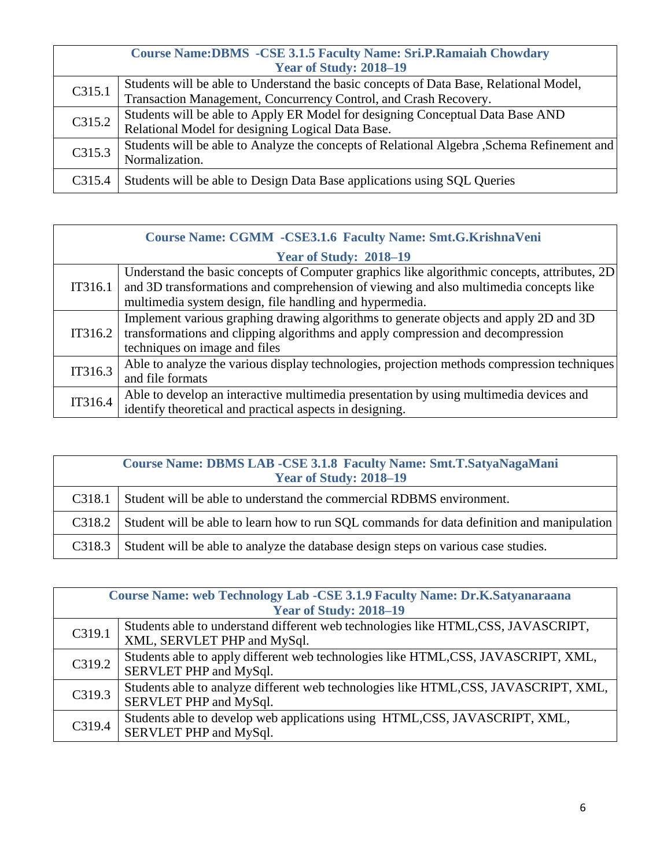|        | <b>Course Name: DBMS - CSE 3.1.5 Faculty Name: Sri.P.Ramaiah Chowdary</b><br><b>Year of Study: 2018-19</b>                                                 |
|--------|------------------------------------------------------------------------------------------------------------------------------------------------------------|
| C315.1 | Students will be able to Understand the basic concepts of Data Base, Relational Model,<br>Transaction Management, Concurrency Control, and Crash Recovery. |
| C315.2 | Students will be able to Apply ER Model for designing Conceptual Data Base AND<br>Relational Model for designing Logical Data Base.                        |
| C315.3 | Students will be able to Analyze the concepts of Relational Algebra, Schema Refinement and<br>Normalization.                                               |
| C315.4 | Students will be able to Design Data Base applications using SQL Queries                                                                                   |

| <b>Course Name: CGMM -CSE3.1.6 Faculty Name: Smt.G.KrishnaVeni</b> |                                                                                                                                                                                                                                                  |  |
|--------------------------------------------------------------------|--------------------------------------------------------------------------------------------------------------------------------------------------------------------------------------------------------------------------------------------------|--|
|                                                                    | <b>Year of Study: 2018–19</b>                                                                                                                                                                                                                    |  |
| IT316.1                                                            | Understand the basic concepts of Computer graphics like algorithmic concepts, attributes, 2D<br>and 3D transformations and comprehension of viewing and also multimedia concepts like<br>multimedia system design, file handling and hypermedia. |  |
| IT316.2                                                            | Implement various graphing drawing algorithms to generate objects and apply 2D and 3D<br>transformations and clipping algorithms and apply compression and decompression<br>techniques on image and files                                        |  |
| IT316.3                                                            | Able to analyze the various display technologies, projection methods compression techniques<br>and file formats                                                                                                                                  |  |
| IT316.4                                                            | Able to develop an interactive multimedia presentation by using multimedia devices and<br>identify theoretical and practical aspects in designing.                                                                                               |  |

| <b>Course Name: DBMS LAB -CSE 3.1.8 Faculty Name: Smt.T.SatyaNagaMani</b><br><b>Year of Study: 2018–19</b> |                                                                                            |
|------------------------------------------------------------------------------------------------------------|--------------------------------------------------------------------------------------------|
| C <sub>3</sub> 18.1                                                                                        | Student will be able to understand the commercial RDBMS environment.                       |
| C318.2                                                                                                     | Student will be able to learn how to run SQL commands for data definition and manipulation |
| C318.3                                                                                                     | Student will be able to analyze the database design steps on various case studies.         |

| <b>Course Name: web Technology Lab -CSE 3.1.9 Faculty Name: Dr.K.Satyanaraana</b><br><b>Year of Study: 2018-19</b> |                                                                                                                   |
|--------------------------------------------------------------------------------------------------------------------|-------------------------------------------------------------------------------------------------------------------|
| C319.1                                                                                                             | Students able to understand different web technologies like HTML, CSS, JAVASCRIPT,<br>XML, SERVLET PHP and MySql. |
| C319.2                                                                                                             | Students able to apply different web technologies like HTML, CSS, JAVASCRIPT, XML,<br>SERVLET PHP and MySql.      |
| C319.3                                                                                                             | Students able to analyze different web technologies like HTML,CSS, JAVASCRIPT, XML,<br>SERVLET PHP and MySql.     |
| C319.4                                                                                                             | Students able to develop web applications using HTML, CSS, JAVASCRIPT, XML,<br>SERVLET PHP and MySql.             |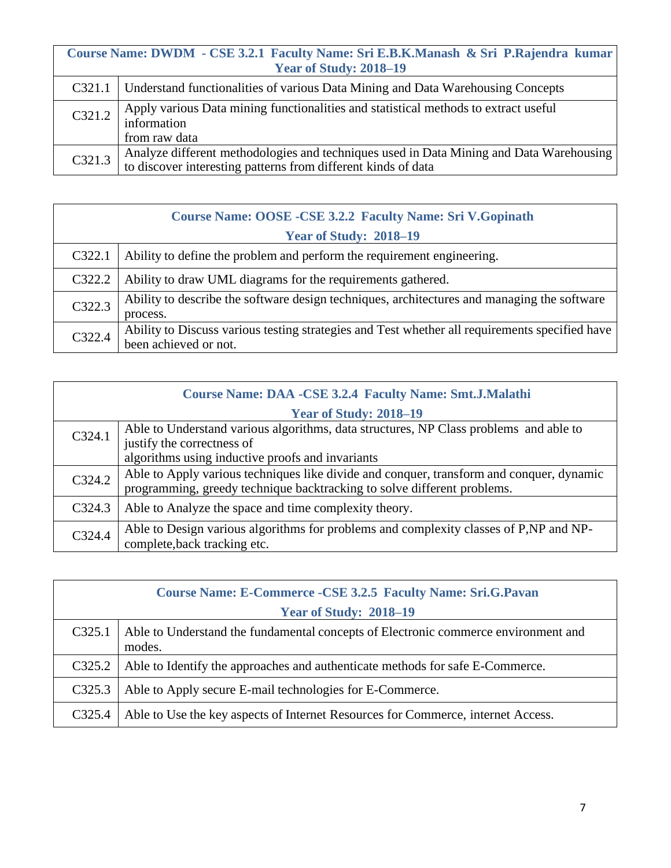|  | Course Name: DWDM - CSE 3.2.1 Faculty Name: Sri E.B.K.Manash & Sri P.Rajendra kumar |  |  |
|--|-------------------------------------------------------------------------------------|--|--|
|  | <b>Year of Study: 2018–19</b>                                                       |  |  |

|        | C321.1   Understand functionalities of various Data Mining and Data Warehousing Concepts                                                                 |
|--------|----------------------------------------------------------------------------------------------------------------------------------------------------------|
| C321.2 | Apply various Data mining functionalities and statistical methods to extract useful<br>information<br>from raw data                                      |
| C321.3 | Analyze different methodologies and techniques used in Data Mining and Data Warehousing<br>to discover interesting patterns from different kinds of data |

| <b>Course Name: OOSE -CSE 3.2.2 Faculty Name: Sri V.Gopinath</b> |                                                                                                                         |  |
|------------------------------------------------------------------|-------------------------------------------------------------------------------------------------------------------------|--|
|                                                                  | <b>Year of Study: 2018-19</b>                                                                                           |  |
| C322.1                                                           | Ability to define the problem and perform the requirement engineering.                                                  |  |
| C322.2                                                           | Ability to draw UML diagrams for the requirements gathered.                                                             |  |
| C322.3                                                           | Ability to describe the software design techniques, architectures and managing the software<br>process.                 |  |
| C322.4                                                           | Ability to Discuss various testing strategies and Test whether all requirements specified have<br>been achieved or not. |  |

| <b>Course Name: DAA -CSE 3.2.4 Faculty Name: Smt.J.Malathi</b> |                                                                                                                                                                     |  |
|----------------------------------------------------------------|---------------------------------------------------------------------------------------------------------------------------------------------------------------------|--|
| <b>Year of Study: 2018–19</b>                                  |                                                                                                                                                                     |  |
| C324.1                                                         | Able to Understand various algorithms, data structures, NP Class problems and able to<br>justify the correctness of                                                 |  |
|                                                                | algorithms using inductive proofs and invariants                                                                                                                    |  |
| C324.2                                                         | Able to Apply various techniques like divide and conquer, transform and conquer, dynamic<br>programming, greedy technique backtracking to solve different problems. |  |
| C324.3                                                         | Able to Analyze the space and time complexity theory.                                                                                                               |  |
| C324.4                                                         | Able to Design various algorithms for problems and complexity classes of P,NP and NP-<br>complete, back tracking etc.                                               |  |

|        | <b>Course Name: E-Commerce -CSE 3.2.5 Faculty Name: Sri.G.Pavan</b><br><b>Year of Study: 2018-19</b> |  |  |
|--------|------------------------------------------------------------------------------------------------------|--|--|
| C325.1 | Able to Understand the fundamental concepts of Electronic commerce environment and<br>modes.         |  |  |
| C325.2 | Able to Identify the approaches and authenticate methods for safe E-Commerce.                        |  |  |
| C325.3 | Able to Apply secure E-mail technologies for E-Commerce.                                             |  |  |
| C325.4 | Able to Use the key aspects of Internet Resources for Commerce, internet Access.                     |  |  |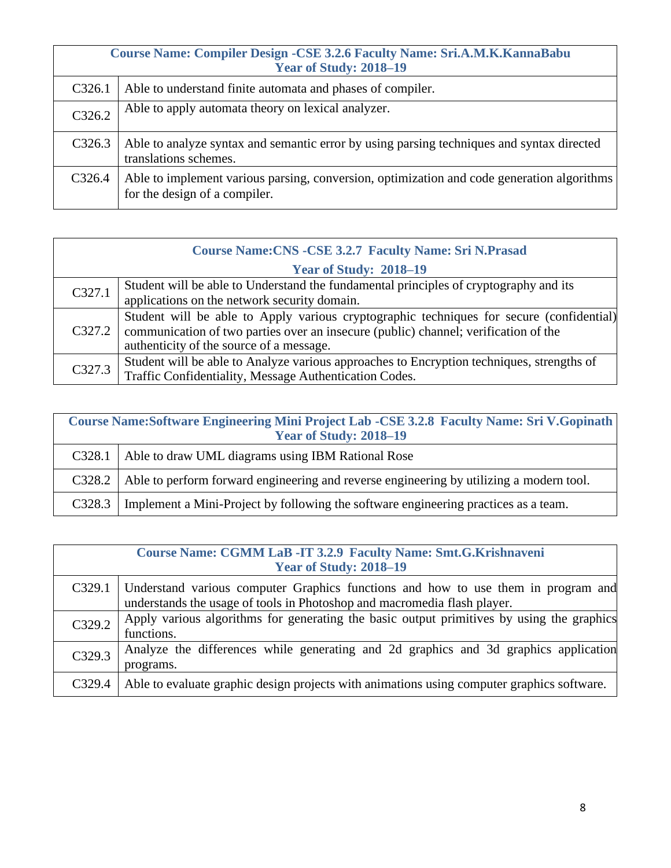|        | Course Name: Compiler Design - CSE 3.2.6 Faculty Name: Sri.A.M.K.KannaBabu<br><b>Year of Study: 2018-19</b>                 |  |  |
|--------|-----------------------------------------------------------------------------------------------------------------------------|--|--|
| C326.1 | Able to understand finite automata and phases of compiler.                                                                  |  |  |
| C326.2 | Able to apply automata theory on lexical analyzer.                                                                          |  |  |
| C326.3 | Able to analyze syntax and semantic error by using parsing techniques and syntax directed<br>translations schemes.          |  |  |
| C326.4 | Able to implement various parsing, conversion, optimization and code generation algorithms<br>for the design of a compiler. |  |  |

| <b>Course Name: CNS - CSE 3.2.7 Faculty Name: Sri N.Prasad</b> |                                                                                                                                                                                                                             |  |
|----------------------------------------------------------------|-----------------------------------------------------------------------------------------------------------------------------------------------------------------------------------------------------------------------------|--|
|                                                                | <b>Year of Study: 2018-19</b>                                                                                                                                                                                               |  |
| C327.1                                                         | Student will be able to Understand the fundamental principles of cryptography and its<br>applications on the network security domain.                                                                                       |  |
| C327.2                                                         | Student will be able to Apply various cryptographic techniques for secure (confidential)<br>communication of two parties over an insecure (public) channel; verification of the<br>authenticity of the source of a message. |  |
| C327.3                                                         | Student will be able to Analyze various approaches to Encryption techniques, strengths of<br>Traffic Confidentiality, Message Authentication Codes.                                                                         |  |

| Course Name: Software Engineering Mini Project Lab - CSE 3.2.8 Faculty Name: Sri V. Gopinath<br><b>Year of Study: 2018-19</b> |                                                                                                |  |
|-------------------------------------------------------------------------------------------------------------------------------|------------------------------------------------------------------------------------------------|--|
|                                                                                                                               | C328.1   Able to draw UML diagrams using IBM Rational Rose                                     |  |
|                                                                                                                               | C328.2 Able to perform forward engineering and reverse engineering by utilizing a modern tool. |  |
| C328.3                                                                                                                        | Implement a Mini-Project by following the software engineering practices as a team.            |  |

|        | Course Name: CGMM LaB - IT 3.2.9 Faculty Name: Smt.G.Krishnaveni<br><b>Year of Study: 2018-19</b>                                                             |
|--------|---------------------------------------------------------------------------------------------------------------------------------------------------------------|
| C329.1 | Understand various computer Graphics functions and how to use them in program and<br>understands the usage of tools in Photoshop and macromedia flash player. |
| C329.2 | Apply various algorithms for generating the basic output primitives by using the graphics<br>functions.                                                       |
| C329.3 | Analyze the differences while generating and 2d graphics and 3d graphics application<br>programs.                                                             |
| C329.4 | Able to evaluate graphic design projects with animations using computer graphics software.                                                                    |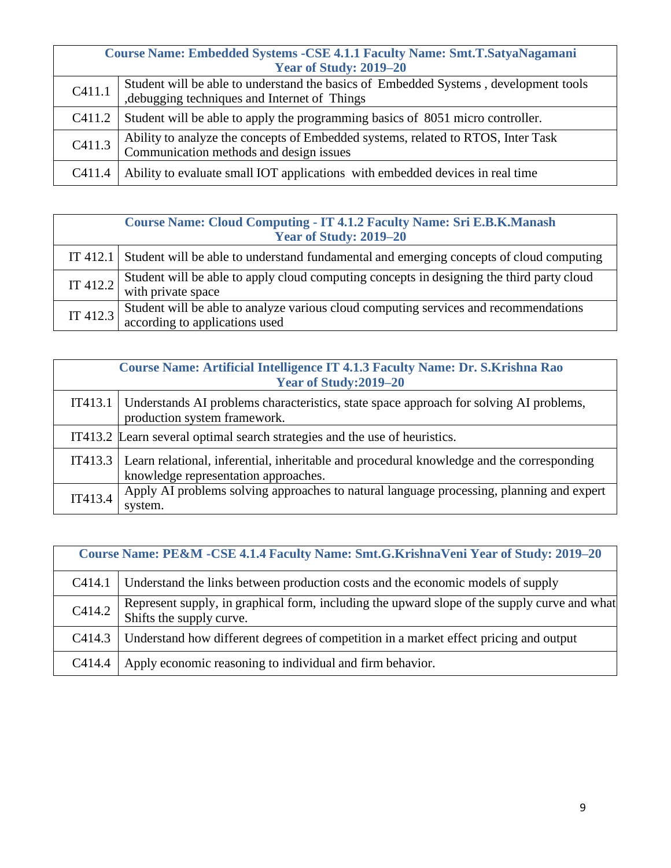|        | Course Name: Embedded Systems - CSE 4.1.1 Faculty Name: Smt.T.SatyaNagamani<br><b>Year of Study: 2019–20</b>                          |
|--------|---------------------------------------------------------------------------------------------------------------------------------------|
| C411.1 | Student will be able to understand the basics of Embedded Systems, development tools<br>, debugging techniques and Internet of Things |
| C411.2 | Student will be able to apply the programming basics of 8051 micro controller.                                                        |
| C411.3 | Ability to analyze the concepts of Embedded systems, related to RTOS, Inter Task<br>Communication methods and design issues           |
| C411.4 | Ability to evaluate small IOT applications with embedded devices in real time                                                         |

|          | <b>Course Name: Cloud Computing - IT 4.1.2 Faculty Name: Sri E.B.K.Manash</b><br><b>Year of Study: 2019–20</b>         |
|----------|------------------------------------------------------------------------------------------------------------------------|
|          | IT 412.1 Student will be able to understand fundamental and emerging concepts of cloud computing                       |
| IT 412.2 | Student will be able to apply cloud computing concepts in designing the third party cloud<br>with private space        |
| IT 412.3 | Student will be able to analyze various cloud computing services and recommendations<br>according to applications used |

|         | Course Name: Artificial Intelligence IT 4.1.3 Faculty Name: Dr. S.Krishna Rao<br>Year of Study: 2019–20                                   |
|---------|-------------------------------------------------------------------------------------------------------------------------------------------|
|         | IT413.1   Understands AI problems characteristics, state space approach for solving AI problems,<br>production system framework.          |
|         | IT413.2 Learn several optimal search strategies and the use of heuristics.                                                                |
|         | IT413.3 Learn relational, inferential, inheritable and procedural knowledge and the corresponding<br>knowledge representation approaches. |
| IT413.4 | Apply AI problems solving approaches to natural language processing, planning and expert<br>system.                                       |

| Course Name: PE&M -CSE 4.1.4 Faculty Name: Smt.G.KrishnaVeni Year of Study: 2019-20 |                                                                                                                          |  |
|-------------------------------------------------------------------------------------|--------------------------------------------------------------------------------------------------------------------------|--|
| C414.1                                                                              | Understand the links between production costs and the economic models of supply                                          |  |
| C414.2                                                                              | Represent supply, in graphical form, including the upward slope of the supply curve and what<br>Shifts the supply curve. |  |
| C414.3                                                                              | Understand how different degrees of competition in a market effect pricing and output                                    |  |
| C414.4                                                                              | Apply economic reasoning to individual and firm behavior.                                                                |  |